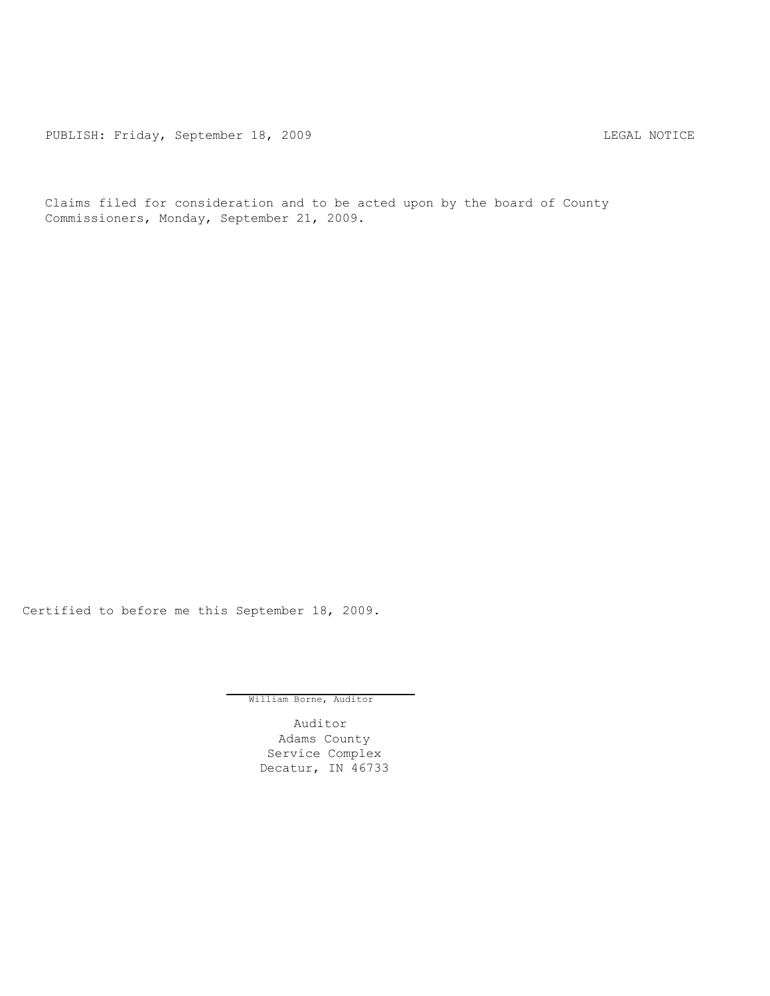PUBLISH: Friday, September 18, 2009 CHA CHANGE CONSTRUCTED AND THE LEGAL NOTICE

Claims filed for consideration and to be acted upon by the board of County Commissioners, Monday, September 21, 2009.

Certified to before me this September 18, 2009.

William Borne, Auditor

Auditor Adams County Service Complex Decatur, IN 46733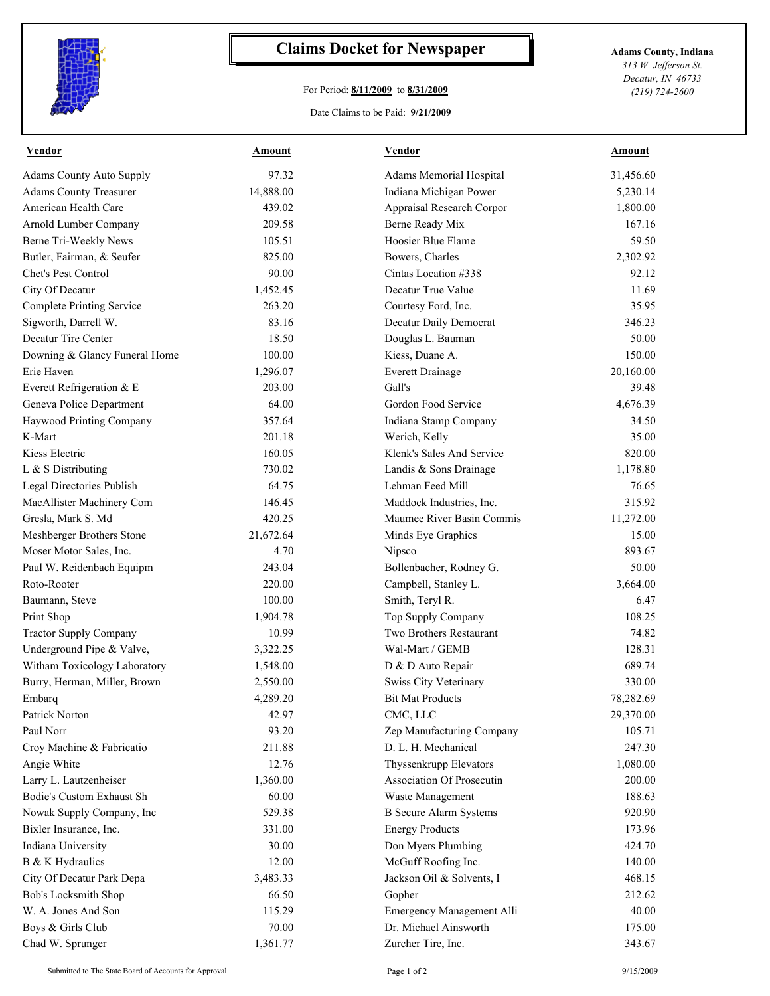

## **Claims Docket for Newspaper Adams County, Indiana**

## For Period: **8/11/2009** to **8/31/2009**

*313 W. Jefferson St. Decatur, IN 46733 (219) 724-2600*

## Date Claims to be Paid: **9/21/2009**

| <b>Vendor</b>                   | Amount    | Vendor                        | <u>Amount</u> |
|---------------------------------|-----------|-------------------------------|---------------|
| <b>Adams County Auto Supply</b> | 97.32     | Adams Memorial Hospital       | 31,456.60     |
| <b>Adams County Treasurer</b>   | 14,888.00 | Indiana Michigan Power        | 5,230.14      |
| American Health Care            | 439.02    | Appraisal Research Corpor     | 1,800.00      |
| Arnold Lumber Company           | 209.58    | Berne Ready Mix               | 167.16        |
| Berne Tri-Weekly News           | 105.51    | Hoosier Blue Flame            | 59.50         |
| Butler, Fairman, & Seufer       | 825.00    | Bowers, Charles               | 2,302.92      |
| Chet's Pest Control             | 90.00     | Cintas Location #338          | 92.12         |
| City Of Decatur                 | 1,452.45  | Decatur True Value            | 11.69         |
| Complete Printing Service       | 263.20    | Courtesy Ford, Inc.           | 35.95         |
| Sigworth, Darrell W.            | 83.16     | Decatur Daily Democrat        | 346.23        |
| Decatur Tire Center             | 18.50     | Douglas L. Bauman             | 50.00         |
| Downing & Glancy Funeral Home   | 100.00    | Kiess, Duane A.               | 150.00        |
| Erie Haven                      | 1,296.07  | <b>Everett Drainage</b>       | 20,160.00     |
| Everett Refrigeration & E       | 203.00    | Gall's                        | 39.48         |
| Geneva Police Department        | 64.00     | Gordon Food Service           | 4,676.39      |
| Haywood Printing Company        | 357.64    | Indiana Stamp Company         | 34.50         |
| K-Mart                          | 201.18    | Werich, Kelly                 | 35.00         |
| Kiess Electric                  | 160.05    | Klenk's Sales And Service     | 820.00        |
| L & S Distributing              | 730.02    | Landis & Sons Drainage        | 1,178.80      |
| Legal Directories Publish       | 64.75     | Lehman Feed Mill              | 76.65         |
| MacAllister Machinery Com       | 146.45    | Maddock Industries, Inc.      | 315.92        |
| Gresla, Mark S. Md              | 420.25    | Maumee River Basin Commis     | 11,272.00     |
| Meshberger Brothers Stone       | 21,672.64 | Minds Eye Graphics            | 15.00         |
| Moser Motor Sales, Inc.         | 4.70      | Nipsco                        | 893.67        |
| Paul W. Reidenbach Equipm       | 243.04    | Bollenbacher, Rodney G.       | 50.00         |
| Roto-Rooter                     | 220.00    | Campbell, Stanley L.          | 3,664.00      |
| Baumann, Steve                  | 100.00    | Smith, Teryl R.               | 6.47          |
| Print Shop                      | 1,904.78  | Top Supply Company            | 108.25        |
| <b>Tractor Supply Company</b>   | 10.99     | Two Brothers Restaurant       | 74.82         |
| Underground Pipe & Valve,       | 3,322.25  | Wal-Mart / GEMB               | 128.31        |
| Witham Toxicology Laboratory    | 1,548.00  | D & D Auto Repair             | 689.74        |
| Burry, Herman, Miller, Brown    | 2,550.00  | Swiss City Veterinary         | 330.00        |
| Embarq                          | 4,289.20  | <b>Bit Mat Products</b>       | 78,282.69     |
| Patrick Norton                  | 42.97     | CMC, LLC                      | 29,370.00     |
| Paul Norr                       | 93.20     | Zep Manufacturing Company     | 105.71        |
| Croy Machine & Fabricatio       | 211.88    | D. L. H. Mechanical           | 247.30        |
| Angie White                     | 12.76     | Thyssenkrupp Elevators        | 1,080.00      |
| Larry L. Lautzenheiser          | 1,360.00  | Association Of Prosecutin     | 200.00        |
| Bodie's Custom Exhaust Sh       | 60.00     | Waste Management              | 188.63        |
| Nowak Supply Company, Inc       | 529.38    | <b>B</b> Secure Alarm Systems | 920.90        |
| Bixler Insurance, Inc.          | 331.00    | <b>Energy Products</b>        | 173.96        |
| Indiana University              | 30.00     | Don Myers Plumbing            | 424.70        |
| B & K Hydraulics                | 12.00     | McGuff Roofing Inc.           | 140.00        |
| City Of Decatur Park Depa       | 3,483.33  | Jackson Oil & Solvents, I     | 468.15        |
| Bob's Locksmith Shop            | 66.50     | Gopher                        | 212.62        |
| W. A. Jones And Son             | 115.29    | Emergency Management Alli     | 40.00         |
| Boys & Girls Club               | 70.00     | Dr. Michael Ainsworth         | 175.00        |
| Chad W. Sprunger                | 1,361.77  | Zurcher Tire, Inc.            | 343.67        |
|                                 |           |                               |               |